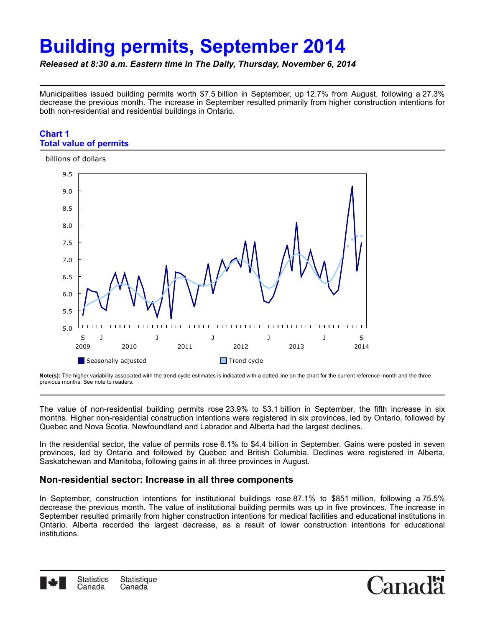# **Building permits, September 2014**

*Released at 8:30 a.m. Eastern time in The Daily, Thursday, November 6, 2014*

Municipalities issued building permits worth \$7.5 billion in September, up 12.7% from August, following a 27.3% decrease the previous month. The increase in September resulted primarily from higher construction intentions for both non-residential and residential buildings in Ontario.

#### **Chart 1 Total value of permits**



**Note(s):** The higher variability associated with the trend-cycle estimates is indicated with a dotted line on the chart for the current reference month and the three previous months. See note to readers.

The value of non-residential building permits rose 23.9% to \$3.1 billion in September, the fifth increase in six months. Higher non-residential construction intentions were registered in six provinces, led by Ontario, followed by Quebec and Nova Scotia. Newfoundland and Labrador and Alberta had the largest declines.

In the residential sector, the value of permits rose 6.1% to \$4.4 billion in September. Gains were posted in seven provinces, led by Ontario and followed by Quebec and British Columbia. Declines were registered in Alberta, Saskatchewan and Manitoba, following gains in all three provinces in August.

# **Non-residential sector: Increase in all three components**

In September, construction intentions for institutional buildings rose 87.1% to \$851 million, following a 75.5% decrease the previous month. The value of institutional building permits was up in five provinces. The increase in September resulted primarily from higher construction intentions for medical facilities and educational institutions in Ontario. Alberta recorded the largest decrease, as a result of lower construction intentions for educational institutions.



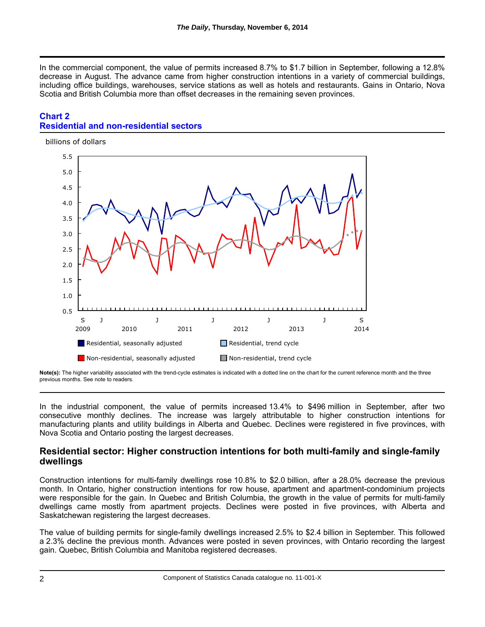In the commercial component, the value of permits increased 8.7% to \$1.7 billion in September, following a 12.8% decrease in August. The advance came from higher construction intentions in a variety of commercial buildings, including office buildings, warehouses, service stations as well as hotels and restaurants. Gains in Ontario, Nova Scotia and British Columbia more than offset decreases in the remaining seven provinces.

# **Chart 2 Residential and non-residential sectors**



**Note(s):** The higher variability associated with the trend-cycle estimates is indicated with a dotted line on the chart for the current reference month and the three previous months. See note to readers.

In the industrial component, the value of permits increased 13.4% to \$496 million in September, after two consecutive monthly declines. The increase was largely attributable to higher construction intentions for manufacturing plants and utility buildings in Alberta and Quebec. Declines were registered in five provinces, with Nova Scotia and Ontario posting the largest decreases.

# **Residential sector: Higher construction intentions for both multi-family and single-family dwellings**

Construction intentions for multi-family dwellings rose 10.8% to \$2.0 billion, after a 28.0% decrease the previous month. In Ontario, higher construction intentions for row house, apartment and apartment-condominium projects were responsible for the gain. In Quebec and British Columbia, the growth in the value of permits for multi-family dwellings came mostly from apartment projects. Declines were posted in five provinces, with Alberta and Saskatchewan registering the largest decreases.

The value of building permits for single-family dwellings increased 2.5% to \$2.4 billion in September. This followed a 2.3% decline the previous month. Advances were posted in seven provinces, with Ontario recording the largest gain. Quebec, British Columbia and Manitoba registered decreases.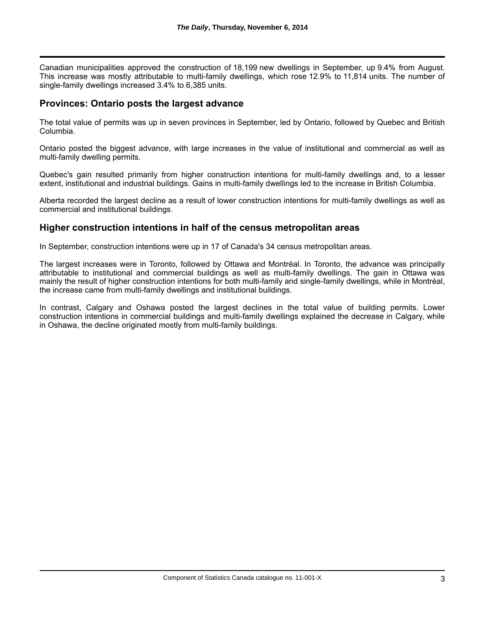Canadian municipalities approved the construction of 18,199 new dwellings in September, up 9.4% from August. This increase was mostly attributable to multi-family dwellings, which rose 12.9% to 11,814 units. The number of single-family dwellings increased 3.4% to 6,385 units.

#### **Provinces: Ontario posts the largest advance**

The total value of permits was up in seven provinces in September, led by Ontario, followed by Quebec and British Columbia.

Ontario posted the biggest advance, with large increases in the value of institutional and commercial as well as multi-family dwelling permits.

Quebec's gain resulted primarily from higher construction intentions for multi-family dwellings and, to a lesser extent, institutional and industrial buildings. Gains in multi-family dwellings led to the increase in British Columbia.

Alberta recorded the largest decline as a result of lower construction intentions for multi-family dwellings as well as commercial and institutional buildings.

# **Higher construction intentions in half of the census metropolitan areas**

In September, construction intentions were up in 17 of Canada's 34 census metropolitan areas.

The largest increases were in Toronto, followed by Ottawa and Montréal. In Toronto, the advance was principally attributable to institutional and commercial buildings as well as multi-family dwellings. The gain in Ottawa was mainly the result of higher construction intentions for both multi-family and single-family dwellings, while in Montréal, the increase came from multi-family dwellings and institutional buildings.

In contrast, Calgary and Oshawa posted the largest declines in the total value of building permits. Lower construction intentions in commercial buildings and multi-family dwellings explained the decrease in Calgary, while in Oshawa, the decline originated mostly from multi-family buildings.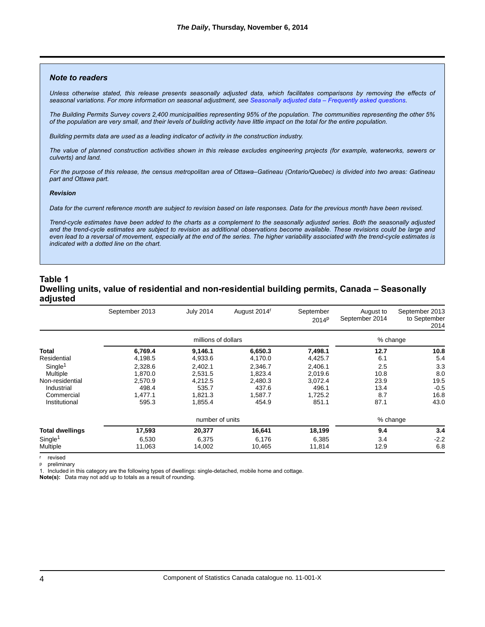#### *Note to readers*

*Unless otherwise stated, this release presents seasonally adjusted data, which facilitates comparisons by removing the effects of seasonal variations. For more information on seasonal adjustment, see [Seasonally adjusted data – Frequently asked questions](http://www.statcan.gc.ca/dai-quo/btd-add/btd-add-eng.htm).*

*The Building Permits Survey covers 2,400 municipalities representing 95% of the population. The communities representing the other 5% of the population are very small, and their levels of building activity have little impact on the total for the entire population.*

*Building permits data are used as a leading indicator of activity in the construction industry.*

*The value of planned construction activities shown in this release excludes engineering projects (for example, waterworks, sewers or culverts) and land.*

*For the purpose of this release, the census metropolitan area of Ottawa–Gatineau (Ontario/Quebec) is divided into two areas: Gatineau part and Ottawa part.*

#### *Revision*

*Data for the current reference month are subject to revision based on late responses. Data for the previous month have been revised.*

*Trend-cycle estimates have been added to the charts as a complement to the seasonally adjusted series. Both the seasonally adjusted and the trend-cycle estimates are subject to revision as additional observations become available. These revisions could be large and even lead to a reversal of movement, especially at the end of the series. The higher variability associated with the trend-cycle estimates is indicated with a dotted line on the chart.*

#### **Table 1 Dwelling units, value of residential and non-residential building permits, Canada – Seasonally adjusted**

|                     | September 2013      | <b>July 2014</b> | August 2014 <sup>r</sup> | September<br>2014 <sup>p</sup> | August to<br>September 2014 | September 2013<br>to September<br>2014 |
|---------------------|---------------------|------------------|--------------------------|--------------------------------|-----------------------------|----------------------------------------|
|                     | millions of dollars |                  |                          | % change                       |                             |                                        |
| Total               | 6,769.4             | 9,146.1          | 6,650.3                  | 7,498.1                        | 12.7                        | 10.8                                   |
| Residential         | 4,198.5             | 4,933.6          | 4,170.0                  | 4,425.7                        | 6.1                         | 5.4                                    |
| Single <sup>1</sup> | 2.328.6             | 2.402.1          | 2.346.7                  | 2.406.1                        | 2.5                         | 3.3                                    |
| Multiple            | 1,870.0             | 2.531.5          | 1,823.4                  | 2,019.6                        | 10.8                        | 8.0                                    |
| Non-residential     | 2.570.9             | 4.212.5          | 2.480.3                  | 3.072.4                        | 23.9                        | 19.5                                   |
| Industrial          | 498.4               | 535.7            | 437.6                    | 496.1                          | 13.4                        | $-0.5$                                 |
| Commercial          | 1.477.1             | 1.821.3          | 1.587.7                  | 1.725.2                        | 8.7                         | 16.8                                   |
| Institutional       | 595.3               | 1,855.4          | 454.9                    | 851.1                          | 87.1                        | 43.0                                   |
|                     | number of units     |                  |                          |                                | % change                    |                                        |
| Total dwellings     | 17,593              | 20,377           | 16,641                   | 18,199                         | 9.4                         | 3.4                                    |
| Single <sup>1</sup> | 6,530               | 6,375            | 6,176                    | 6,385                          | 3.4                         | $-2.2$                                 |
| Multiple            | 11,063              | 14,002           | 10,465                   | 11,814                         | 12.9                        | 6.8                                    |

r revised

p preliminary

1. Included in this category are the following types of dwellings: single-detached, mobile home and cottage.

**Note(s):**  Data may not add up to totals as a result of rounding.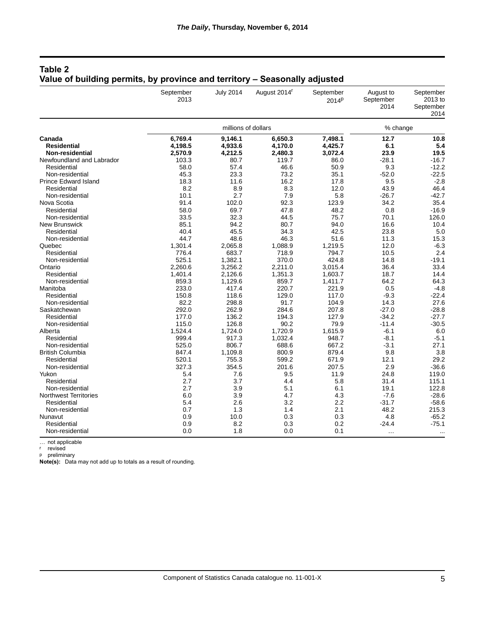| Table 2                                                                    |  |  |
|----------------------------------------------------------------------------|--|--|
| Value of building permits, by province and territory – Seasonally adjusted |  |  |

|                              | September<br>2013   | <b>July 2014</b> | August 2014 <sup>r</sup> | September<br>2014 <sup>p</sup> | August to<br>September<br>2014 | September<br>2013 to<br>September<br>2014 |
|------------------------------|---------------------|------------------|--------------------------|--------------------------------|--------------------------------|-------------------------------------------|
|                              | millions of dollars |                  |                          |                                | % change                       |                                           |
| Canada                       | 6,769.4             | 9,146.1          | 6,650.3                  | 7,498.1                        | 12.7                           | 10.8                                      |
| <b>Residential</b>           | 4,198.5             | 4,933.6          | 4,170.0                  | 4,425.7                        | 6.1                            | 5.4                                       |
| <b>Non-residential</b>       | 2,570.9             | 4,212.5          | 2,480.3                  | 3,072.4                        | 23.9                           | 19.5                                      |
| Newfoundland and Labrador    | 103.3               | 80.7             | 119.7                    | 86.0                           | $-28.1$                        | $-16.7$                                   |
| Residential                  | 58.0                | 57.4             | 46.6                     | 50.9                           | 9.3                            | $-12.2$                                   |
| Non-residential              | 45.3                | 23.3             | 73.2                     | 35.1                           | $-52.0$                        | $-22.5$                                   |
| <b>Prince Edward Island</b>  | 18.3                | 11.6             | 16.2                     | 17.8                           | 9.5                            | $-2.8$                                    |
| Residential                  | 8.2                 | 8.9              | 8.3                      | 12.0                           | 43.9                           | 46.4                                      |
| Non-residential              | 10.1                | 2.7              | 7.9                      | 5.8                            | $-26.7$                        | $-42.7$                                   |
| Nova Scotia                  | 91.4                | 102.0            | 92.3                     | 123.9                          | 34.2                           | 35.4                                      |
| Residential                  | 58.0                | 69.7             | 47.8                     | 48.2                           | 0.8                            | $-16.9$                                   |
| Non-residential              | 33.5                | 32.3             | 44.5                     | 75.7                           | 70.1                           | 126.0                                     |
| <b>New Brunswick</b>         | 85.1                | 94.2             | 80.7                     | 94.0                           | 16.6                           | 10.4                                      |
| Residential                  | 40.4                | 45.5             | 34.3                     | 42.5                           | 23.8                           | 5.0                                       |
| Non-residential              | 44.7                | 48.6             | 46.3                     | 51.6                           | 11.3                           | 15.3                                      |
| Quebec                       | 1,301.4             | 2,065.8          | 1,088.9                  | 1,219.5                        | 12.0                           | $-6.3$                                    |
| Residential                  | 776.4               | 683.7            | 718.9                    | 794.7                          | 10.5                           | 2.4                                       |
| Non-residential              | 525.1               | 1,382.1          | 370.0                    | 424.8                          | 14.8                           | $-19.1$                                   |
| Ontario                      | 2,260.6             | 3,256.2          | 2,211.0                  | 3,015.4                        | 36.4                           | 33.4                                      |
| Residential                  | 1,401.4             | 2,126.6          | 1,351.3                  | 1,603.7                        | 18.7                           | 14.4                                      |
| Non-residential              | 859.3               | 1,129.6          | 859.7                    | 1,411.7                        | 64.2                           | 64.3                                      |
| Manitoba                     | 233.0               | 417.4            | 220.7                    | 221.9                          | 0.5                            | $-4.8$                                    |
| Residential                  | 150.8               | 118.6            | 129.0                    | 117.0                          | $-9.3$                         | $-22.4$                                   |
| Non-residential              | 82.2                | 298.8            | 91.7                     | 104.9                          | 14.3                           | 27.6                                      |
| Saskatchewan                 | 292.0               | 262.9            | 284.6                    | 207.8                          | $-27.0$                        | $-28.8$                                   |
| Residential                  | 177.0               | 136.2            | 194.3                    | 127.9                          | $-34.2$                        | $-27.7$                                   |
| Non-residential              | 115.0               | 126.8            | 90.2                     | 79.9                           | $-11.4$                        | $-30.5$                                   |
| Alberta                      | 1,524.4             | 1,724.0          | 1,720.9                  | 1,615.9                        | $-6.1$                         | 6.0                                       |
| Residential                  | 999.4               | 917.3            | 1,032.4                  | 948.7                          | $-8.1$                         | $-5.1$                                    |
| Non-residential              | 525.0               | 806.7            | 688.6                    | 667.2                          | $-3.1$                         | 27.1                                      |
| <b>British Columbia</b>      | 847.4               | 1,109.8          | 800.9                    | 879.4                          | 9.8                            | 3.8                                       |
| Residential                  | 520.1               | 755.3            | 599.2                    | 671.9                          | 12.1                           | 29.2                                      |
| Non-residential              | 327.3               | 354.5            | 201.6                    | 207.5                          | 2.9                            | $-36.6$                                   |
| Yukon                        | 5.4                 | 7.6              | 9.5                      | 11.9                           | 24.8                           | 119.0                                     |
| Residential                  | 2.7                 | 3.7              | 4.4                      | 5.8                            | 31.4                           | 115.1                                     |
| Non-residential              | 2.7                 | 3.9              | 5.1                      | 6.1                            | 19.1                           | 122.8                                     |
| <b>Northwest Territories</b> | 6.0                 | 3.9              | 4.7                      | 4.3                            | $-7.6$                         | $-28.6$                                   |
|                              |                     | 2.6              | 3.2                      |                                | $-31.7$                        | $-58.6$                                   |
| Residential                  | 5.4<br>0.7          | 1.3              |                          | 2.2<br>2.1                     | 48.2                           | 215.3                                     |
| Non-residential              |                     |                  | 1.4                      |                                |                                |                                           |
| Nunavut                      | 0.9                 | 10.0             | 0.3                      | 0.3                            | 4.8                            | $-65.2$                                   |
| Residential                  | 0.9                 | 8.2              | 0.3                      | 0.2                            | $-24.4$                        | $-75.1$                                   |
| Non-residential              | 0.0                 | 1.8              | 0.0                      | 0.1                            | $\cdots$                       |                                           |

… not applicable r revised

p preliminary

**Note(s):**  Data may not add up to totals as a result of rounding.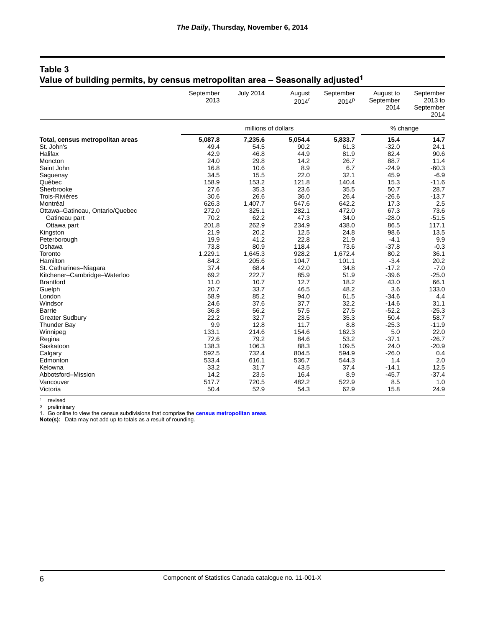# **Table 3 Value of building permits, by census metropolitan area – Seasonally adjusted1**

|                                  | September<br>2013 | <b>July 2014</b> | August<br>2014 <sup>r</sup> | September<br>2014 <sup>p</sup> | August to<br>September<br>2014 | September<br>2013 to<br>September<br>2014 |
|----------------------------------|-------------------|------------------|-----------------------------|--------------------------------|--------------------------------|-------------------------------------------|
|                                  |                   | % change         |                             |                                |                                |                                           |
| Total, census metropolitan areas | 5,087.8           | 7,235.6          | 5,054.4                     | 5,833.7                        | 15.4                           | 14.7                                      |
| St. John's                       | 49.4              | 54.5             | 90.2                        | 61.3                           | $-32.0$                        | 24.1                                      |
| Halifax                          | 42.9              | 46.8             | 44.9                        | 81.9                           | 82.4                           | 90.6                                      |
| Moncton                          | 24.0              | 29.8             | 14.2                        | 26.7                           | 88.7                           | 11.4                                      |
| Saint John                       | 16.8              | 10.6             | 8.9                         | 6.7                            | $-24.9$                        | $-60.3$                                   |
| Saguenay                         | 34.5              | 15.5             | 22.0                        | 32.1                           | 45.9                           | $-6.9$                                    |
| Québec                           | 158.9             | 153.2            | 121.8                       | 140.4                          | 15.3                           | $-11.6$                                   |
| Sherbrooke                       | 27.6              | 35.3             | 23.6                        | 35.5                           | 50.7                           | 28.7                                      |
| <b>Trois-Rivières</b>            | 30.6              | 26.6             | 36.0                        | 26.4                           | $-26.6$                        | $-13.7$                                   |
| Montréal                         | 626.3             | 1,407.7          | 547.6                       | 642.2                          | 17.3                           | 2.5                                       |
| Ottawa-Gatineau, Ontario/Quebec  | 272.0             | 325.1            | 282.1                       | 472.0                          | 67.3                           | 73.6                                      |
| Gatineau part                    | 70.2              | 62.2             | 47.3                        | 34.0                           | $-28.0$                        | $-51.5$                                   |
| Ottawa part                      | 201.8             | 262.9            | 234.9                       | 438.0                          | 86.5                           | 117.1                                     |
| Kingston                         | 21.9              | 20.2             | 12.5                        | 24.8                           | 98.6                           | 13.5                                      |
| Peterborough                     | 19.9              | 41.2             | 22.8                        | 21.9                           | $-4.1$                         | 9.9                                       |
| Oshawa                           | 73.8              | 80.9             | 118.4                       | 73.6                           | $-37.8$                        | $-0.3$                                    |
| Toronto                          | 1,229.1           | 1,645.3          | 928.2                       | 1,672.4                        | 80.2                           | 36.1                                      |
| Hamilton                         | 84.2              | 205.6            | 104.7                       | 101.1                          | $-3.4$                         | 20.2                                      |
| St. Catharines-Niagara           | 37.4              | 68.4             | 42.0                        | 34.8                           | $-17.2$                        | $-7.0$                                    |
| Kitchener-Cambridge-Waterloo     | 69.2              | 222.7            | 85.9                        | 51.9                           | $-39.6$                        | $-25.0$                                   |
| <b>Brantford</b>                 | 11.0              | 10.7             | 12.7                        | 18.2                           | 43.0                           | 66.1                                      |
| Guelph                           | 20.7              | 33.7             | 46.5                        | 48.2                           | 3.6                            | 133.0                                     |
| London                           | 58.9              | 85.2             | 94.0                        | 61.5                           | $-34.6$                        | 4.4                                       |
| Windsor                          | 24.6              | 37.6             | 37.7                        | 32.2                           | $-14.6$                        | 31.1                                      |
| <b>Barrie</b>                    | 36.8              | 56.2             | 57.5                        | 27.5                           | $-52.2$                        | $-25.3$                                   |
| <b>Greater Sudbury</b>           | 22.2              | 32.7             | 23.5                        | 35.3                           | 50.4                           | 58.7                                      |
| <b>Thunder Bay</b>               | 9.9               | 12.8             | 11.7                        | 8.8                            | $-25.3$                        | $-11.9$                                   |
| Winnipeg                         | 133.1             | 214.6            | 154.6                       | 162.3                          | 5.0                            | 22.0                                      |
| Regina                           | 72.6              | 79.2             | 84.6                        | 53.2                           | $-37.1$                        | $-26.7$                                   |
| Saskatoon                        | 138.3             | 106.3            | 88.3                        | 109.5                          | 24.0                           | $-20.9$                                   |
| Calgary                          | 592.5             | 732.4            | 804.5                       | 594.9                          | $-26.0$                        | 0.4                                       |
| Edmonton                         | 533.4             | 616.1            | 536.7                       | 544.3                          | 1.4                            | 2.0                                       |
| Kelowna                          | 33.2              | 31.7             | 43.5                        | 37.4                           | $-14.1$                        | 12.5                                      |
| Abbotsford-Mission               | 14.2              | 23.5             | 16.4                        | 8.9                            | $-45.7$                        | $-37.4$                                   |
| Vancouver                        | 517.7             | 720.5            | 482.2                       | 522.9                          | 8.5                            | 1.0                                       |
| Victoria                         | 50.4              | 52.9             | 54.3                        | 62.9                           | 15.8                           | 24.9                                      |

r revised

p preliminary

1. Go online to view the census subdivisions that comprise the **[census metropolitan areas](http://www.statcan.gc.ca/subjects-sujets/standard-norme/daily-quotidien/5000074-eng.htm)**.

**Note(s):**  Data may not add up to totals as a result of rounding.